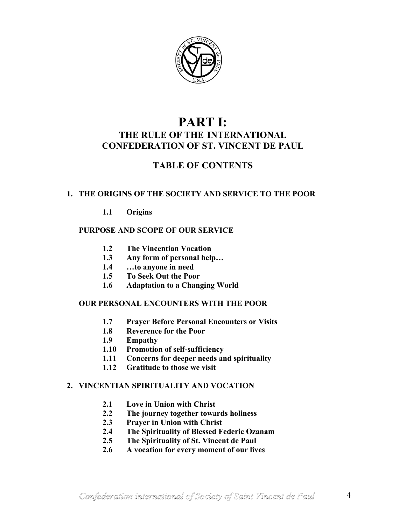

# **PART I: THE RULE OF THE INTERNATIONAL CONFEDERATION OF ST. VINCENT DE PAUL**

# **TABLE OF CONTENTS**

# **1. THE ORIGINS OF THE SOCIETY AND SERVICE TO THE POOR**

**1.1 Origins** 

# **PURPOSE AND SCOPE OF OUR SERVICE**

- **1.2 The Vincentian Vocation**
- **1.3 Any form of personal help…**
- **1.4 …to anyone in need**
- **1.5 To Seek Out the Poor**
- **1.6 Adaptation to a Changing World**

# **OUR PERSONAL ENCOUNTERS WITH THE POOR**

- **1.7 Prayer Before Personal Encounters or Visits**
- **1.8 Reverence for the Poor**
- **1.9 Empathy**
- **1.10 Promotion of self-sufficiency**
- **1.11 Concerns for deeper needs and spirituality**
- **1.12 Gratitude to those we visit**

#### **2. VINCENTIAN SPIRITUALITY AND VOCATION**

- **2.1 Love in Union with Christ**
- **2.2 The journey together towards holiness**
- **2.3 Prayer in Union with Christ**
- **2.4 The Spirituality of Blessed Federic Ozanam**
- **2.5 The Spirituality of St. Vincent de Paul**
- **2.6 A vocation for every moment of our lives**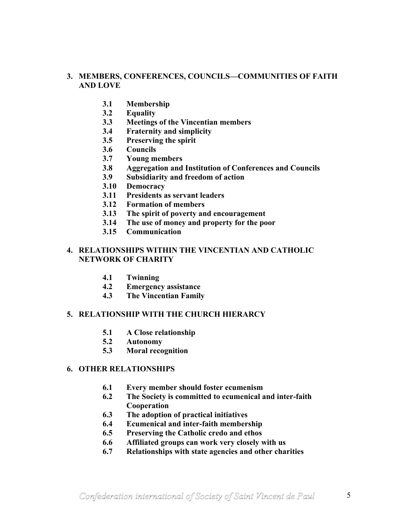# **3. MEMBERS, CONFERENCES, COUNCILS—COMMUNITIES OF FAITH AND LOVE**

- **3.1 Membership**
- **3.2 Equality**
- **3.3 Meetings of the Vincentian members**
- **3.4 Fraternity and simplicity**
- **3.5 Preserving the spirit**
- **3.6 Councils**
- **3.7 Young members**
- **3.8 Aggregation and Institution of Conferences and Councils**
- **3.9 Subsidiarity and freedom of action**
- **3.10 Democracy**
- **3.11 Presidents as servant leaders**
- **3.12 Formation of members**
- **3.13 The spirit of poverty and encouragement**
- **3.14 The use of money and property for the poor**
- **3.15 Communication**

#### **4. RELATIONSHIPS WITHIN THE VINCENTIAN AND CATHOLIC NETWORK OF CHARITY**

- **4.1 Twinning**
- **4.2 Emergency assistance**
- **4.3 The Vincentian Family**

#### **5. RELATIONSHIP WITH THE CHURCH HIERARCY**

- **5.1 A Close relationship**
- **5.2 Autonomy**
- **5.3 Moral recognition**

### **6. OTHER RELATIONSHIPS**

- **6.1 Every member should foster ecumenism**
- **6.2 The Society is committed to ecumenical and inter-faith Cooperation**
- **6.3 The adoption of practical initiatives**
- **6.4 Ecumenical and inter-faith membership**
- **6.5 Preserving the Catholic credo and ethos**
- **6.6 Affiliated groups can work very closely with us**
- **6.7 Relationships with state agencies and other charities**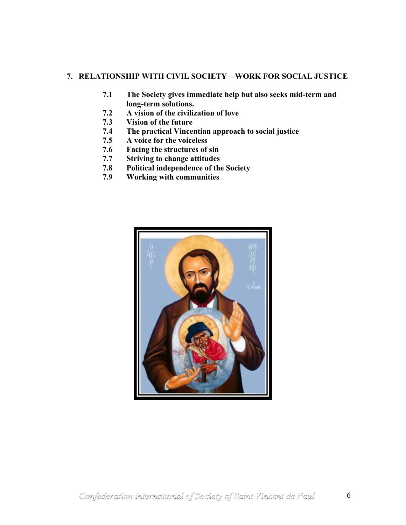# **7. RELATIONSHIP WITH CIVIL SOCIETY—WORK FOR SOCIAL JUSTICE**

- **7.1 The Society gives immediate help but also seeks mid-term and long-term solutions.**
- **7.2 A vision of the civilization of love**
- **7.3 Vision of the future**
- **7.4 The practical Vincentian approach to social justice**
- **7.5 A voice for the voiceless**
- **7.6 Facing the structures of sin**
- **7.7 Striving to change attitudes**
- **7.8 Political independence of the Society**
- **7.9 Working with communities**

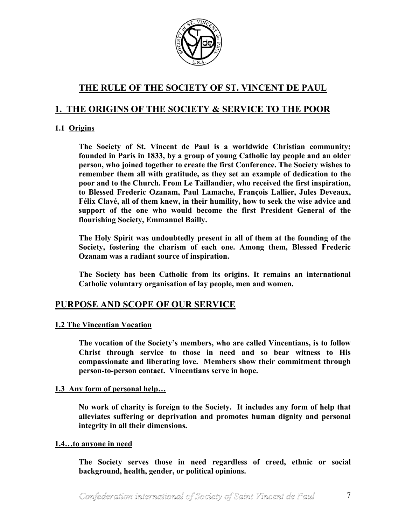

# **THE RULE OF THE SOCIETY OF ST. VINCENT DE PAUL**

# **1. THE ORIGINS OF THE SOCIETY & SERVICE TO THE POOR**

# **1.1 Origins**

**The Society of St. Vincent de Paul is a worldwide Christian community; founded in Paris in 1833, by a group of young Catholic lay people and an older person, who joined together to create the first Conference. The Society wishes to remember them all with gratitude, as they set an example of dedication to the poor and to the Church. From Le Taillandier, who received the first inspiration, to Blessed Frederic Ozanam, Paul Lamache, François Lallier, Jules Deveaux, Félix Clavé, all of them knew, in their humility, how to seek the wise advice and support of the one who would become the first President General of the flourishing Society, Emmanuel Bailly.** 

**The Holy Spirit was undoubtedly present in all of them at the founding of the Society, fostering the charism of each one. Among them, Blessed Frederic Ozanam was a radiant source of inspiration.** 

**The Society has been Catholic from its origins. It remains an international Catholic voluntary organisation of lay people, men and women.** 

# **PURPOSE AND SCOPE OF OUR SERVICE**

# **1.2 The Vincentian Vocation**

**The vocation of the Society's members, who are called Vincentians, is to follow Christ through service to those in need and so bear witness to His compassionate and liberating love. Members show their commitment through person-to-person contact. Vincentians serve in hope.** 

# **1.3 Any form of personal help…**

**No work of charity is foreign to the Society. It includes any form of help that alleviates suffering or deprivation and promotes human dignity and personal integrity in all their dimensions.** 

#### **1.4…to anyone in need**

**The Society serves those in need regardless of creed, ethnic or social background, health, gender, or political opinions.**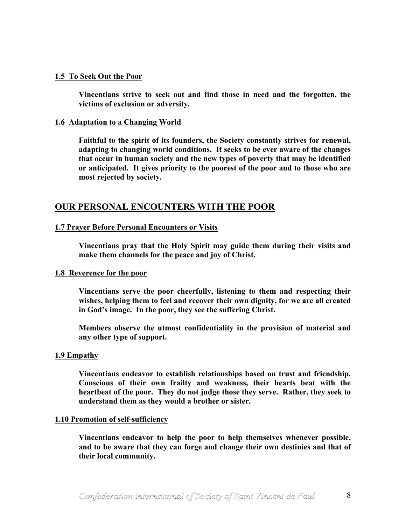#### **1.5 To Seek Out the Poor**

**Vincentians strive to seek out and find those in need and the forgotten, the victims of exclusion or adversity.** 

#### **1.6 Adaptation to a Changing World**

**Faithful to the spirit of its founders, the Society constantly strives for renewal, adapting to changing world conditions. It seeks to be ever aware of the changes that occur in human society and the new types of poverty that may be identified or anticipated. It gives priority to the poorest of the poor and to those who are most rejected by society.** 

# **OUR PERSONAL ENCOUNTERS WITH THE POOR**

#### **1.7 Prayer Before Personal Encounters or Visits**

**Vincentians pray that the Holy Spirit may guide them during their visits and make them channels for the peace and joy of Christ.** 

#### **1.8 Reverence for the poor**

**Vincentians serve the poor cheerfully, listening to them and respecting their wishes, helping them to feel and recover their own dignity, for we are all created in God's image. In the poor, they see the suffering Christ.** 

**Members observe the utmost confidentiality in the provision of material and any other type of support.** 

#### **1.9 Empathy**

**Vincentians endeavor to establish relationships based on trust and friendship. Conscious of their own frailty and weakness, their hearts beat with the heartbeat of the poor. They do not judge those they serve. Rather, they seek to understand them as they would a brother or sister.** 

#### **1.10 Promotion of self-sufficiency**

**Vincentians endeavor to help the poor to help themselves whenever possible, and to be aware that they can forge and change their own destinies and that of their local community.**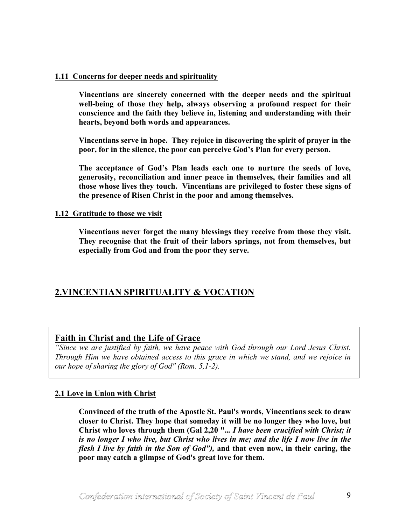### **1.11 Concerns for deeper needs and spirituality**

**Vincentians are sincerely concerned with the deeper needs and the spiritual well-being of those they help, always observing a profound respect for their conscience and the faith they believe in, listening and understanding with their hearts, beyond both words and appearances.** 

**Vincentians serve in hope. They rejoice in discovering the spirit of prayer in the poor, for in the silence, the poor can perceive God's Plan for every person.** 

**The acceptance of God's Plan leads each one to nurture the seeds of love, generosity, reconciliation and inner peace in themselves, their families and all those whose lives they touch. Vincentians are privileged to foster these signs of the presence of Risen Christ in the poor and among themselves.** 

#### **1.12 Gratitude to those we visit**

**Vincentians never forget the many blessings they receive from those they visit. They recognise that the fruit of their labors springs, not from themselves, but especially from God and from the poor they serve.** 

# **2.VINCENTIAN SPIRITUALITY & VOCATION**

# **Faith in Christ and the Life of Grace**

*"Since we are justified by faith, we have peace with God through our Lord Jesus Christ. Through Him we have obtained access to this grace in which we stand, and we rejoice in our hope of sharing the glory of God" (Rom. 5,1-2).* 

# **2.1 Love in Union with Christ**

**Convinced of the truth of the Apostle St. Paul's words, Vincentians seek to draw closer to Christ. They hope that someday it will be no longer they who love, but Christ who loves through them (Gal 2,20 "..***. I have been crucified with Christ; it is no longer I who live, but Christ who lives in me; and the life I now live in the flesh I live by faith in the Son of God"),* **and that even now, in their caring, the poor may catch a glimpse of God's great love for them.**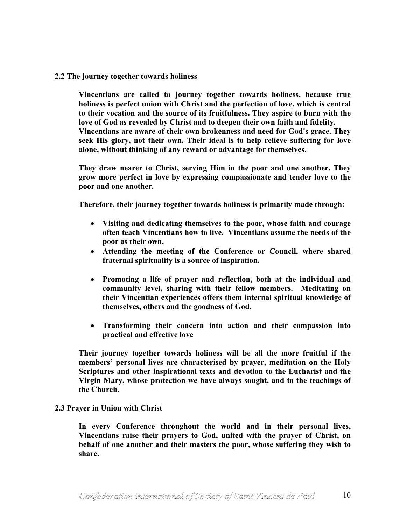### **2.2 The journey together towards holiness**

**Vincentians are called to journey together towards holiness, because true holiness is perfect union with Christ and the perfection of love, which is central to their vocation and the source of its fruitfulness. They aspire to burn with the love of God as revealed by Christ and to deepen their own faith and fidelity. Vincentians are aware of their own brokenness and need for God's grace. They seek His glory, not their own. Their ideal is to help relieve suffering for love alone, without thinking of any reward or advantage for themselves.** 

**They draw nearer to Christ, serving Him in the poor and one another. They grow more perfect in love by expressing compassionate and tender love to the poor and one another.** 

**Therefore, their journey together towards holiness is primarily made through:** 

- **Visiting and dedicating themselves to the poor, whose faith and courage often teach Vincentians how to live. Vincentians assume the needs of the poor as their own.**
- **Attending the meeting of the Conference or Council, where shared fraternal spirituality is a source of inspiration.**
- **Promoting a life of prayer and reflection, both at the individual and community level, sharing with their fellow members. Meditating on their Vincentian experiences offers them internal spiritual knowledge of themselves, others and the goodness of God.**
- **Transforming their concern into action and their compassion into practical and effective love**

**Their journey together towards holiness will be all the more fruitful if the members' personal lives are characterised by prayer, meditation on the Holy Scriptures and other inspirational texts and devotion to the Eucharist and the Virgin Mary, whose protection we have always sought, and to the teachings of the Church.** 

#### **2.3 Prayer in Union with Christ**

**In every Conference throughout the world and in their personal lives, Vincentians raise their prayers to God, united with the prayer of Christ, on behalf of one another and their masters the poor, whose suffering they wish to share.**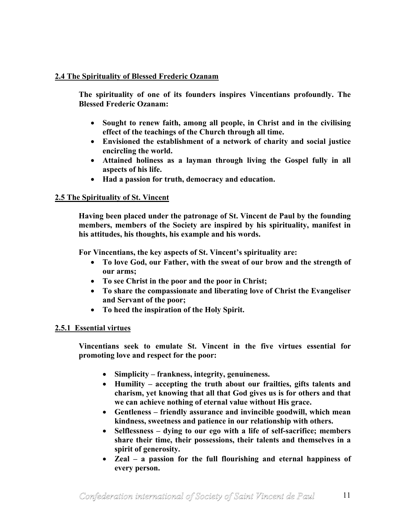### **2.4 The Spirituality of Blessed Frederic Ozanam**

**The spirituality of one of its founders inspires Vincentians profoundly. The Blessed Frederic Ozanam:** 

- **Sought to renew faith, among all people, in Christ and in the civilising effect of the teachings of the Church through all time.**
- **Envisioned the establishment of a network of charity and social justice encircling the world.**
- **Attained holiness as a layman through living the Gospel fully in all aspects of his life.**
- **Had a passion for truth, democracy and education.**

### **2.5 The Spirituality of St. Vincent**

**Having been placed under the patronage of St. Vincent de Paul by the founding members, members of the Society are inspired by his spirituality, manifest in his attitudes, his thoughts, his example and his words.** 

**For Vincentians, the key aspects of St. Vincent's spirituality are:** 

- **To love God, our Father, with the sweat of our brow and the strength of our arms;**
- **To see Christ in the poor and the poor in Christ;**
- **To share the compassionate and liberating love of Christ the Evangeliser and Servant of the poor;**
- **To heed the inspiration of the Holy Spirit.**

# **2.5.1 Essential virtues**

**Vincentians seek to emulate St. Vincent in the five virtues essential for promoting love and respect for the poor:** 

- **Simplicity frankness, integrity, genuineness.**
- **Humility accepting the truth about our frailties, gifts talents and charism, yet knowing that all that God gives us is for others and that we can achieve nothing of eternal value without His grace.**
- **Gentleness friendly assurance and invincible goodwill, which mean kindness, sweetness and patience in our relationship with others.**
- **Selflessness dying to our ego with a life of self-sacrifice; members share their time, their possessions, their talents and themselves in a spirit of generosity.**
- **Zeal a passion for the full flourishing and eternal happiness of every person.**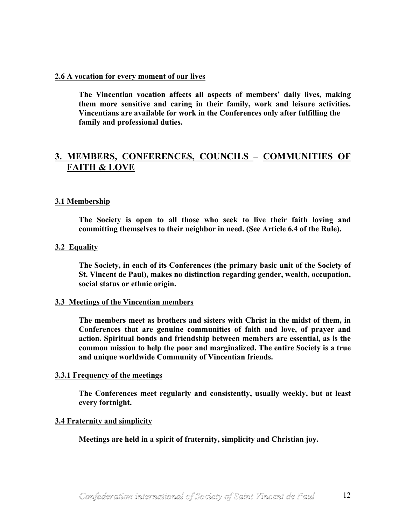#### **2.6 A vocation for every moment of our lives**

**The Vincentian vocation affects all aspects of members' daily lives, making them more sensitive and caring in their family, work and leisure activities. Vincentians are available for work in the Conferences only after fulfilling the family and professional duties.** 

# **3. MEMBERS, CONFERENCES, COUNCILS – COMMUNITIES OF FAITH & LOVE**

### **3.1 Membership**

**The Society is open to all those who seek to live their faith loving and committing themselves to their neighbor in need. (See Article 6.4 of the Rule).** 

#### **3.2 Equality**

**The Society, in each of its Conferences (the primary basic unit of the Society of St. Vincent de Paul), makes no distinction regarding gender, wealth, occupation, social status or ethnic origin.** 

#### **3.3 Meetings of the Vincentian members**

**The members meet as brothers and sisters with Christ in the midst of them, in Conferences that are genuine communities of faith and love, of prayer and action. Spiritual bonds and friendship between members are essential, as is the common mission to help the poor and marginalized. The entire Society is a true and unique worldwide Community of Vincentian friends.** 

#### **3.3.1 Frequency of the meetings**

**The Conferences meet regularly and consistently, usually weekly, but at least every fortnight.** 

#### **3.4 Fraternity and simplicity**

**Meetings are held in a spirit of fraternity, simplicity and Christian joy.**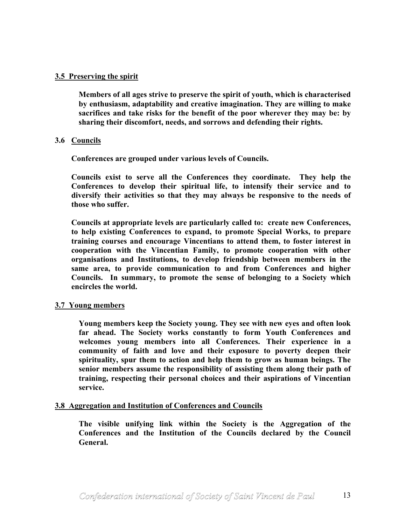### **3.5 Preserving the spirit**

**Members of all ages strive to preserve the spirit of youth, which is characterised by enthusiasm, adaptability and creative imagination. They are willing to make sacrifices and take risks for the benefit of the poor wherever they may be: by sharing their discomfort, needs, and sorrows and defending their rights.** 

### **3.6 Councils**

**Conferences are grouped under various levels of Councils.** 

**Councils exist to serve all the Conferences they coordinate. They help the Conferences to develop their spiritual life, to intensify their service and to diversify their activities so that they may always be responsive to the needs of those who suffer.** 

**Councils at appropriate levels are particularly called to: create new Conferences, to help existing Conferences to expand, to promote Special Works, to prepare training courses and encourage Vincentians to attend them, to foster interest in cooperation with the Vincentian Family, to promote cooperation with other organisations and Institutions, to develop friendship between members in the same area, to provide communication to and from Conferences and higher Councils. In summary, to promote the sense of belonging to a Society which encircles the world.** 

#### **3.7 Young members**

**Young members keep the Society young. They see with new eyes and often look far ahead. The Society works constantly to form Youth Conferences and welcomes young members into all Conferences. Their experience in a community of faith and love and their exposure to poverty deepen their spirituality, spur them to action and help them to grow as human beings. The senior members assume the responsibility of assisting them along their path of training, respecting their personal choices and their aspirations of Vincentian service.** 

#### **3.8 Aggregation and Institution of Conferences and Councils**

**The visible unifying link within the Society is the Aggregation of the Conferences and the Institution of the Councils declared by the Council General.**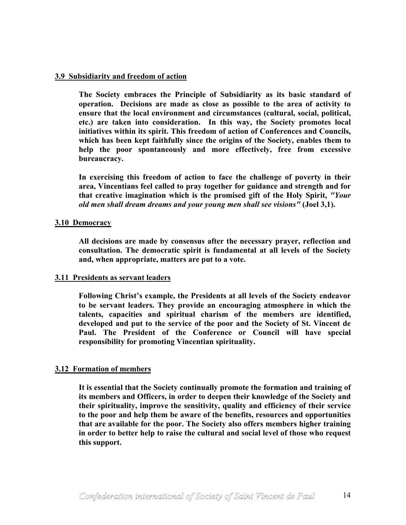#### **3.9 Subsidiarity and freedom of action**

**The Society embraces the Principle of Subsidiarity as its basic standard of operation. Decisions are made as close as possible to the area of activity to ensure that the local environment and circumstances (cultural, social, political, etc.) are taken into consideration. In this way, the Society promotes local initiatives within its spirit. This freedom of action of Conferences and Councils, which has been kept faithfully since the origins of the Society, enables them to help the poor spontaneously and more effectively, free from excessive bureaucracy.** 

**In exercising this freedom of action to face the challenge of poverty in their area, Vincentians feel called to pray together for guidance and strength and for that creative imagination which is the promised gift of the Holy Spirit,** *"Your old men shall dream dreams and your young men shall see visions"* **(Joel 3,1).** 

#### **3.10 Democracy**

**All decisions are made by consensus after the necessary prayer, reflection and consultation. The democratic spirit is fundamental at all levels of the Society and, when appropriate, matters are put to a vote.** 

#### **3.11 Presidents as servant leaders**

**Following Christ's example, the Presidents at all levels of the Society endeavor to be servant leaders. They provide an encouraging atmosphere in which the talents, capacities and spiritual charism of the members are identified, developed and put to the service of the poor and the Society of St. Vincent de Paul. The President of the Conference or Council will have special responsibility for promoting Vincentian spirituality.** 

# **3.12 Formation of members**

**It is essential that the Society continually promote the formation and training of its members and Officers, in order to deepen their knowledge of the Society and their spirituality, improve the sensitivity, quality and efficiency of their service to the poor and help them be aware of the benefits, resources and opportunities that are available for the poor. The Society also offers members higher training in order to better help to raise the cultural and social level of those who request this support.**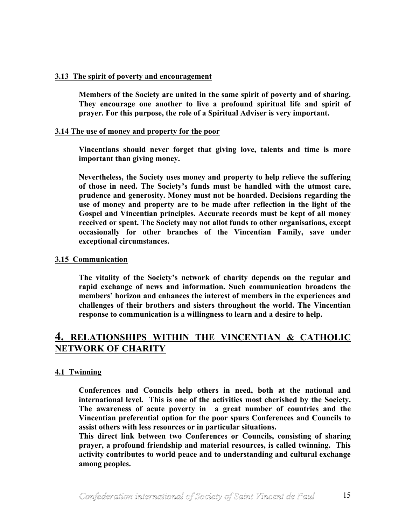#### **3.13 The spirit of poverty and encouragement**

**Members of the Society are united in the same spirit of poverty and of sharing. They encourage one another to live a profound spiritual life and spirit of prayer. For this purpose, the role of a Spiritual Adviser is very important.** 

#### **3.14 The use of money and property for the poor**

**Vincentians should never forget that giving love, talents and time is more important than giving money.** 

**Nevertheless, the Society uses money and property to help relieve the suffering of those in need. The Society's funds must be handled with the utmost care, prudence and generosity. Money must not be hoarded. Decisions regarding the use of money and property are to be made after reflection in the light of the Gospel and Vincentian principles. Accurate records must be kept of all money received or spent. The Society may not allot funds to other organisations, except occasionally for other branches of the Vincentian Family, save under exceptional circumstances.** 

### **3.15 Communication**

**The vitality of the Society's network of charity depends on the regular and rapid exchange of news and information. Such communication broadens the members' horizon and enhances the interest of members in the experiences and challenges of their brothers and sisters throughout the world. The Vincentian response to communication is a willingness to learn and a desire to help.** 

# **4. RELATIONSHIPS WITHIN THE VINCENTIAN & CATHOLIC NETWORK OF CHARITY**

# **4.1 Twinning**

**Conferences and Councils help others in need, both at the national and international level. This is one of the activities most cherished by the Society. The awareness of acute poverty in a great number of countries and the Vincentian preferential option for the poor spurs Conferences and Councils to assist others with less resources or in particular situations.** 

**This direct link between two Conferences or Councils, consisting of sharing prayer, a profound friendship and material resources, is called twinning. This activity contributes to world peace and to understanding and cultural exchange among peoples.**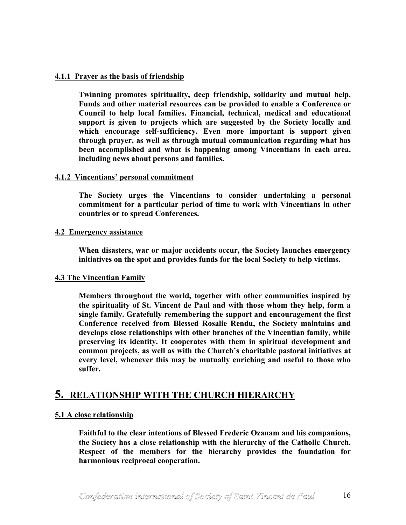### **4.1.1 Prayer as the basis of friendship**

**Twinning promotes spirituality, deep friendship, solidarity and mutual help. Funds and other material resources can be provided to enable a Conference or Council to help local families. Financial, technical, medical and educational support is given to projects which are suggested by the Society locally and which encourage self-sufficiency. Even more important is support given through prayer, as well as through mutual communication regarding what has been accomplished and what is happening among Vincentians in each area, including news about persons and families.** 

#### **4.1.2 Vincentians' personal commitment**

**The Society urges the Vincentians to consider undertaking a personal commitment for a particular period of time to work with Vincentians in other countries or to spread Conferences.** 

#### **4.2 Emergency assistance**

**When disasters, war or major accidents occur, the Society launches emergency initiatives on the spot and provides funds for the local Society to help victims.** 

#### **4.3 The Vincentian Family**

**Members throughout the world, together with other communities inspired by the spirituality of St. Vincent de Paul and with those whom they help, form a single family. Gratefully remembering the support and encouragement the first Conference received from Blessed Rosalie Rendu, the Society maintains and develops close relationships with other branches of the Vincentian family, while preserving its identity. It cooperates with them in spiritual development and common projects, as well as with the Church's charitable pastoral initiatives at every level, whenever this may be mutually enriching and useful to those who suffer.** 

# **5. RELATIONSHIP WITH THE CHURCH HIERARCHY**

# **5.1 A close relationship**

**Faithful to the clear intentions of Blessed Frederic Ozanam and his companions, the Society has a close relationship with the hierarchy of the Catholic Church. Respect of the members for the hierarchy provides the foundation for harmonious reciprocal cooperation.**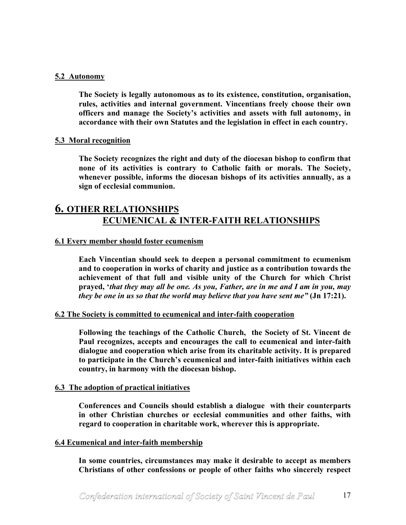#### **5.2 Autonomy**

**The Society is legally autonomous as to its existence, constitution, organisation, rules, activities and internal government. Vincentians freely choose their own officers and manage the Society's activities and assets with full autonomy, in accordance with their own Statutes and the legislation in effect in each country.** 

#### **5.3 Moral recognition**

**The Society recognizes the right and duty of the diocesan bishop to confirm that none of its activities is contrary to Catholic faith or morals. The Society, whenever possible, informs the diocesan bishops of its activities annually, as a sign of ecclesial communion.** 

# **6. OTHER RELATIONSHIPS ECUMENICAL & INTER-FAITH RELATIONSHIPS**

#### **6.1 Every member should foster ecumenism**

**Each Vincentian should seek to deepen a personal commitment to ecumenism and to cooperation in works of charity and justice as a contribution towards the achievement of that full and visible unity of the Church for which Christ prayed, '***that they may all be one. As you, Father, are in me and I am in you, may they be one in us so that the world may believe that you have sent me"* **(Jn 17:21).** 

#### **6.2 The Society is committed to ecumenical and inter-faith cooperation**

**Following the teachings of the Catholic Church, the Society of St. Vincent de Paul recognizes, accepts and encourages the call to ecumenical and inter-faith dialogue and cooperation which arise from its charitable activity. It is prepared to participate in the Church's ecumenical and inter-faith initiatives within each country, in harmony with the diocesan bishop.** 

#### **6.3 The adoption of practical initiatives**

**Conferences and Councils should establish a dialogue with their counterparts in other Christian churches or ecclesial communities and other faiths, with regard to cooperation in charitable work, wherever this is appropriate.** 

#### **6.4 Ecumenical and inter-faith membership**

**In some countries, circumstances may make it desirable to accept as members Christians of other confessions or people of other faiths who sincerely respect**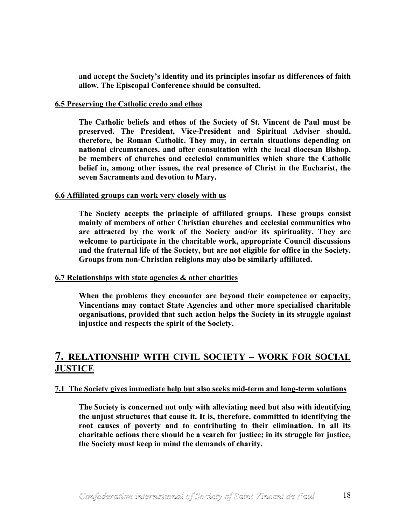**and accept the Society's identity and its principles insofar as differences of faith allow. The Episcopal Conference should be consulted.** 

#### **6.5 Preserving the Catholic credo and ethos**

**The Catholic beliefs and ethos of the Society of St. Vincent de Paul must be preserved. The President, Vice-President and Spiritual Adviser should, therefore, be Roman Catholic. They may, in certain situations depending on national circumstances, and after consultation with the local diocesan Bishop, be members of churches and ecclesial communities which share the Catholic belief in, among other issues, the real presence of Christ in the Eucharist, the seven Sacraments and devotion to Mary.** 

#### **6.6 Affiliated groups can work very closely with us**

**The Society accepts the principle of affiliated groups. These groups consist mainly of members of other Christian churches and ecclesial communities who are attracted by the work of the Society and/or its spirituality. They are welcome to participate in the charitable work, appropriate Council discussions and the fraternal life of the Society, but are not eligible for office in the Society. Groups from non-Christian religions may also be similarly affiliated.** 

#### **6.7 Relationships with state agencies & other charities**

**When the problems they encounter are beyond their competence or capacity, Vincentians may contact State Agencies and other more specialised charitable organisations, provided that such action helps the Society in its struggle against injustice and respects the spirit of the Society.** 

# **7. RELATIONSHIP WITH CIVIL SOCIETY – WORK FOR SOCIAL JUSTICE**

#### **7.1 The Society gives immediate help but also seeks mid-term and long-term solutions**

**The Society is concerned not only with alleviating need but also with identifying the unjust structures that cause it. It is, therefore, committed to identifying the root causes of poverty and to contributing to their elimination. In all its charitable actions there should be a search for justice; in its struggle for justice, the Society must keep in mind the demands of charity.**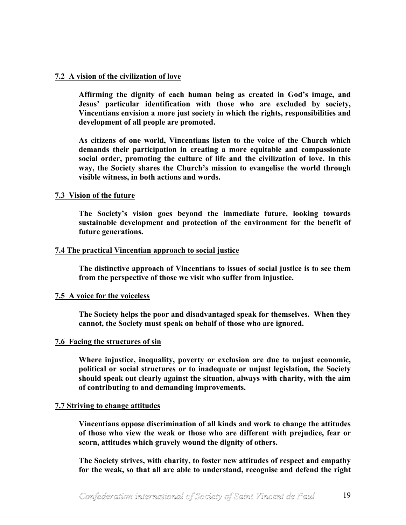#### **7.2 A vision of the civilization of love**

**Affirming the dignity of each human being as created in God's image, and Jesus' particular identification with those who are excluded by society, Vincentians envision a more just society in which the rights, responsibilities and development of all people are promoted.** 

**As citizens of one world, Vincentians listen to the voice of the Church which demands their participation in creating a more equitable and compassionate social order, promoting the culture of life and the civilization of love. In this way, the Society shares the Church's mission to evangelise the world through visible witness, in both actions and words.** 

#### **7.3 Vision of the future**

**The Society's vision goes beyond the immediate future, looking towards sustainable development and protection of the environment for the benefit of future generations.** 

#### **7.4 The practical Vincentian approach to social justice**

**The distinctive approach of Vincentians to issues of social justice is to see them from the perspective of those we visit who suffer from injustice.** 

#### **7.5 A voice for the voiceless**

**The Society helps the poor and disadvantaged speak for themselves. When they cannot, the Society must speak on behalf of those who are ignored.** 

#### **7.6 Facing the structures of sin**

**Where injustice, inequality, poverty or exclusion are due to unjust economic, political or social structures or to inadequate or unjust legislation, the Society should speak out clearly against the situation, always with charity, with the aim of contributing to and demanding improvements.** 

#### **7.7 Striving to change attitudes**

**Vincentians oppose discrimination of all kinds and work to change the attitudes of those who view the weak or those who are different with prejudice, fear or scorn, attitudes which gravely wound the dignity of others.** 

**The Society strives, with charity, to foster new attitudes of respect and empathy for the weak, so that all are able to understand, recognise and defend the right**